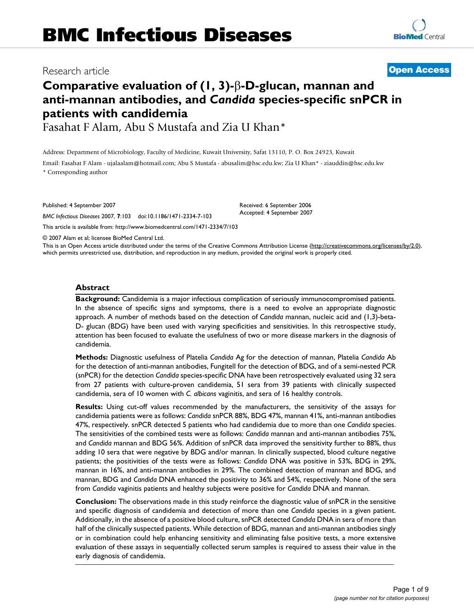### Research article **[Open Access](http://www.biomedcentral.com/info/about/charter/)**

## **Comparative evaluation of (1, 3)-**β**-D-glucan, mannan and anti-mannan antibodies, and** *Candida* **species-specific snPCR in patients with candidemia**

Fasahat F Alam, Abu S Mustafa and Zia U Khan\*

Address: Department of Microbiology, Faculty of Medicine, Kuwait University, Safat 13110, P. O. Box 24923, Kuwait

Email: Fasahat F Alam - ujalaalam@hotmail.com; Abu S Mustafa - abusalim@hsc.edu.kw; Zia U Khan\* - ziauddin@hsc.edu.kw \* Corresponding author

Published: 4 September 2007

*BMC Infectious Diseases* 2007, **7**:103 doi:10.1186/1471-2334-7-103

[This article is available from: http://www.biomedcentral.com/1471-2334/7/103](http://www.biomedcentral.com/1471-2334/7/103)

© 2007 Alam et al; licensee BioMed Central Ltd.

This is an Open Access article distributed under the terms of the Creative Commons Attribution License [\(http://creativecommons.org/licenses/by/2.0\)](http://creativecommons.org/licenses/by/2.0), which permits unrestricted use, distribution, and reproduction in any medium, provided the original work is properly cited.

Received: 6 September 2006 Accepted: 4 September 2007

#### **Abstract**

**Background:** Candidemia is a major infectious complication of seriously immunocompromised patients. In the absence of specific signs and symptoms, there is a need to evolve an appropriate diagnostic approach. A number of methods based on the detection of *Candida* mannan, nucleic acid and (1,3)-beta-D- glucan (BDG) have been used with varying specificities and sensitivities. In this retrospective study, attention has been focused to evaluate the usefulness of two or more disease markers in the diagnosis of candidemia.

**Methods:** Diagnostic usefulness of Platelia *Candida* Ag for the detection of mannan, Platelia *Candida* Ab for the detection of anti-mannan antibodies, Fungitell for the detection of BDG, and of a semi-nested PCR (snPCR) for the detection *Candida* species-specific DNA have been retrospectively evaluated using 32 sera from 27 patients with culture-proven candidemia, 51 sera from 39 patients with clinically suspected candidemia, sera of 10 women with *C. albicans* vaginitis, and sera of 16 healthy controls.

**Results:** Using cut-off values recommended by the manufacturers, the sensitivity of the assays for candidemia patients were as follows: *Candida* snPCR 88%, BDG 47%, mannan 41%, anti-mannan antibodies 47%, respectively. snPCR detected 5 patients who had candidemia due to more than one *Candida* species. The sensitivities of the combined tests were as follows: *Candida* mannan and anti-mannan antibodies 75%, and *Candida* mannan and BDG 56%. Addition of snPCR data improved the sensitivity further to 88%, thus adding 10 sera that were negative by BDG and/or mannan. In clinically suspected, blood culture negative patients; the positivities of the tests were as follows: *Candida* DNA was positive in 53%, BDG in 29%, mannan in 16%, and anti-mannan antibodies in 29%. The combined detection of mannan and BDG, and mannan, BDG and *Candida* DNA enhanced the positivity to 36% and 54%, respectively. None of the sera from *Candida* vaginitis patients and healthy subjects were positive for *Candida* DNA and mannan.

**Conclusion:** The observations made in this study reinforce the diagnostic value of snPCR in the sensitive and specific diagnosis of candidemia and detection of more than one *Candida* species in a given patient. Additionally, in the absence of a positive blood culture, snPCR detected *Candida* DNA in sera of more than half of the clinically suspected patients. While detection of BDG, mannan and anti-mannan antibodies singly or in combination could help enhancing sensitivity and eliminating false positive tests, a more extensive evaluation of these assays in sequentially collected serum samples is required to assess their value in the early diagnosis of candidemia.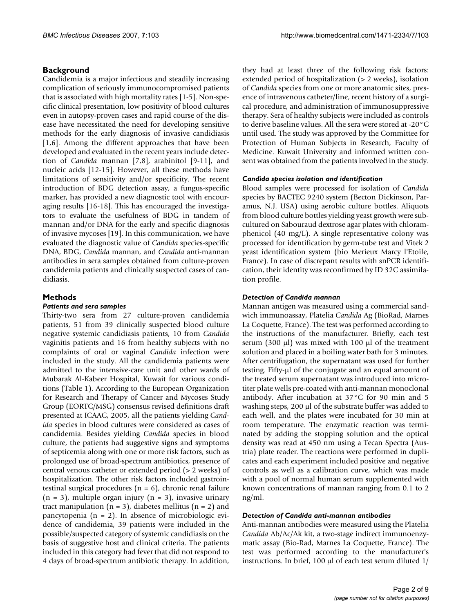#### **Background**

Candidemia is a major infectious and steadily increasing complication of seriously immunocompromised patients that is associated with high mortality rates [1-5]. Non-specific clinical presentation, low positivity of blood cultures even in autopsy-proven cases and rapid course of the disease have necessitated the need for developing sensitive methods for the early diagnosis of invasive candidiasis [1,6]. Among the different approaches that have been developed and evaluated in the recent years include detection of *Candida* mannan [7,8], arabinitol [9-11], and nucleic acids [12-15]. However, all these methods have limitations of sensitivity and/or specificity. The recent introduction of BDG detection assay, a fungus-specific marker, has provided a new diagnostic tool with encouraging results [16-18]. This has encouraged the investigators to evaluate the usefulness of BDG in tandem of mannan and/or DNA for the early and specific diagnosis of invasive mycoses [19]. In this communication, we have evaluated the diagnostic value of *Candida* species-specific DNA, BDG, *Candida* mannan, and *Candida* anti-mannan antibodies in sera samples obtained from culture-proven candidemia patients and clinically suspected cases of candidiasis.

#### **Methods**

#### *Patients and sera samples*

Thirty-two sera from 27 culture-proven candidemia patients, 51 from 39 clinically suspected blood culture negative systemic candidiasis patients, 10 from *Candida* vaginitis patients and 16 from healthy subjects with no complaints of oral or vaginal *Candida* infection were included in the study. All the candidemia patients were admitted to the intensive-care unit and other wards of Mubarak Al-Kabeer Hospital, Kuwait for various conditions (Table 1). According to the European Organization for Research and Therapy of Cancer and Mycoses Study Group (EORTC/MSG) consensus revised definitions draft presented at ICAAC, 2005, all the patients yielding *Candida* species in blood cultures were considered as cases of candidemia. Besides yielding *Candida* species in blood culture, the patients had suggestive signs and symptoms of septicemia along with one or more risk factors, such as prolonged use of broad-spectrum antibiotics, presence of central venous catheter or extended period (> 2 weeks) of hospitalization. The other risk factors included gastrointestinal surgical procedures  $(n = 6)$ , chronic renal failure  $(n = 3)$ , multiple organ injury  $(n = 3)$ , invasive urinary tract manipulation ( $n = 3$ ), diabetes mellitus ( $n = 2$ ) and pancytopenia ( $n = 2$ ). In absence of microbiologic evidence of candidemia, 39 patients were included in the possible/suspected category of systemic candidiasis on the basis of suggestive host and clinical criteria. The patients included in this category had fever that did not respond to 4 days of broad-spectrum antibiotic therapy. In addition,

they had at least three of the following risk factors: extended period of hospitalization (> 2 weeks), isolation of *Candida* species from one or more anatomic sites, presence of intravenous catheter/line, recent history of a surgical procedure, and administration of immunosuppressive therapy. Sera of healthy subjects were included as controls to derive baseline values. All the sera were stored at -20°C until used. The study was approved by the Committee for Protection of Human Subjects in Research, Faculty of Medicine. Kuwait University and informed written consent was obtained from the patients involved in the study.

#### *Candida species isolation and identification*

Blood samples were processed for isolation of *Candida* species by BACTEC 9240 system (Becton Dickinson, Paramus, N.J. USA) using aerobic culture bottles. Aliquots from blood culture bottles yielding yeast growth were subcultured on Sabouraud dextrose agar plates with chloramphenicol (40 mg/L). A single representative colony was processed for identification by germ-tube test and Vitek 2 yeast identification system (bio Merieux Marcy l'Etoile, France). In case of discrepant results with snPCR identification, their identity was reconfirmed by ID 32C assimilation profile.

#### *Detection of Candida mannan*

Mannan antigen was measured using a commercial sandwich immunoassay, Platelia *Candida* Ag (BioRad, Marnes La Coquette, France). The test was performed according to the instructions of the manufacturer. Briefly, each test serum  $(300 \mu l)$  was mixed with 100  $\mu l$  of the treatment solution and placed in a boiling water bath for 3 minutes. After centrifugation, the supernatant was used for further testing. Fifty-µl of the conjugate and an equal amount of the treated serum supernatant was introduced into microtiter plate wells pre-coated with anti-mannan monoclonal antibody. After incubation at 37°C for 90 min and 5 washing steps, 200 µl of the substrate buffer was added to each well, and the plates were incubated for 30 min at room temperature. The enzymatic reaction was terminated by adding the stopping solution and the optical density was read at 450 nm using a Tecan Spectra (Austria) plate reader. The reactions were performed in duplicates and each experiment included positive and negative controls as well as a calibration curve, which was made with a pool of normal human serum supplemented with known concentrations of mannan ranging from 0.1 to 2 ng/ml.

#### *Detection of Candida anti-mannan antibodies*

Anti-mannan antibodies were measured using the Platelia *Candida* Ab/Ac/Ak kit, a two-stage indirect immunoenzymatic assay (Bio-Rad, Marnes La Coquette, France). The test was performed according to the manufacturer's instructions. In brief, 100  $\mu$ l of each test serum diluted 1/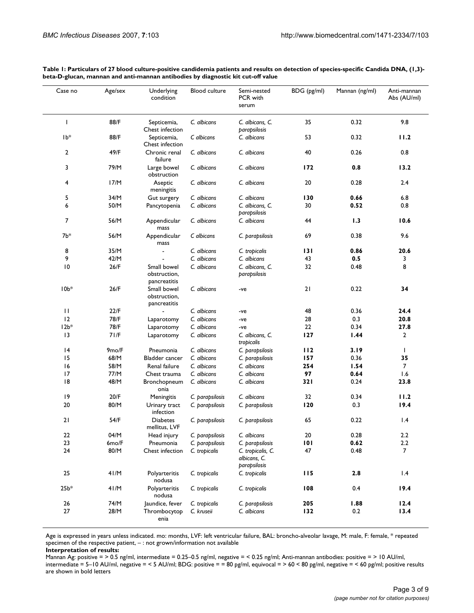| Case no         | Age/sex | Underlying<br>condition                     | <b>Blood culture</b> | Semi-nested<br>PCR with<br>serum                  | BDG (pg/ml) | Mannan (ng/ml) | Anti-mannan<br>Abs (AU/ml) |
|-----------------|---------|---------------------------------------------|----------------------|---------------------------------------------------|-------------|----------------|----------------------------|
| T               | 88/F    | Septicemia,<br>Chest infection              | C. albicans          | C. albicans, C.<br>parapsilosis                   | 35          | 0.32           | 9.8                        |
| lb*             | 88/F    | Septicemia,<br>Chest infection              | C albicans           | C. albicans                                       | 53          | 0.32           | 11.2                       |
| $\overline{2}$  | 49/F    | Chronic renal<br>failure                    | C. albicans          | C. albicans                                       | 40          | 0.26           | 0.8                        |
| 3               | 79/M    | Large bowel<br>obstruction                  | C. albicans          | C. albicans                                       | 172         | 0.8            | 13.2                       |
| 4               | 17/M    | Aseptic<br>meningitis                       | C. albicans          | C. albicans                                       | 20          | 0.28           | 2.4                        |
| 5               | 34/M    | Gut surgery                                 | C. albicans          | C. albicans                                       | 130         | 0.66           | 6.8                        |
| 6               | 50/M    | Pancytopenia                                | C. albicans          | C. albicans, C.<br>parapsilosis                   | 30          | 0.52           | 0.8                        |
| 7               | 56/M    | Appendicular<br>mass                        | C. albicans          | C. albicans                                       | 44          | 1.3            | 10.6                       |
| 7Ь*             | 56/M    | Appendicular<br>mass                        | C albicans           | C. parapsilosis                                   | 69          | 0.38           | 9.6                        |
| 8               | 35/M    | ÷                                           | C. albicans          | C. tropicalis                                     | 131         | 0.86           | 20.6                       |
| 9               | 42/M    |                                             | C. albicans          | C. albicans                                       | 43          | 0.5            | 3                          |
| 10              | 26/F    | Small bowel<br>obstruction,<br>pancreatitis | C. albicans          | C. albicans, C.<br>parapsilosis                   | 32          | 0.48           | 8                          |
| 10 <sup>k</sup> | 26/F    | Small bowel<br>obstruction,<br>pancreatitis | C. albicans          | -ve                                               | 21          | 0.22           | 34                         |
| $\mathbf{H}$    | 22/F    |                                             | C. albicans          | -ve                                               | 48          | 0.36           | 24.4                       |
| 12              | 78/F    | Laparotomy                                  | C. albicans          | -ve                                               | 28          | 0.3            | 20.8                       |
| $12b*$          | 78/F    | Laparotomy                                  | C. albicans          | -ve                                               | 22          | 0.34           | 27.8                       |
| $\overline{13}$ | 71/F    | Laparotomy                                  | C. albicans          | C. albicans, C.<br>tropicalis                     | 127         | 1.44           | 2                          |
| 4               | 9mo/F   | Pneumonia                                   | C. albicans          | C. parapsilosis                                   | 112         | 3.19           | T                          |
| 15              | 68/M    | Bladder cancer                              | C. albicans          | C. parapsilosis                                   | 157         | 0.36           | 35                         |
| 16              | 58/M    | Renal failure                               | C. albicans          | C. albicans                                       | 254         | 1.54           | $\overline{7}$             |
| 17              | 77/M    | Chest trauma                                | C. albicans          | C. albicans                                       | 97          | 0.64           | 1.6                        |
| 8               | 48/M    | Bronchopneum<br>onia                        | C. albicans          | C. albicans                                       | 321         | 0.24           | 23.8                       |
| 9               | 20/F    | Meningitis                                  | C. parapsilosis      | C. albicans                                       | 32          | 0.34           | 11.2                       |
| 20              | 80/M    | Urinary tract<br>infection                  | C. parapsilosis      | C. parapsilosis                                   | 120         | 0.3            | 19.4                       |
| 21              | 54/F    | <b>Diabetes</b><br>mellitus, LVF            | C. parapsilosis      | C. parapsilosis                                   | 65          | 0.22           | 1.4                        |
| 22              | 04/M    | Head injury                                 | C. parapsilosis      | C. albicans                                       | 20          | 0.28           | 2.2                        |
| 23              | 6mo/F   | Pneumonia                                   | C. parapsilosis      | C. parapsilosis                                   | 101         | 0.62           | 2.2                        |
| 24              | 80/M    | Chest infection                             | C. tropicalis        | C. tropicalis, C.<br>albicans, C.<br>parapsilosis | 47          | 0.48           | $\overline{7}$             |
| 25              | 41/M    | Polyarteritis<br>nodusa                     | C. tropicalis        | C. tropicalis                                     | 115         | $2.8$          | 1.4                        |
| $25b*$          | 41/M    | Polyarteritis<br>nodusa                     | C. tropicalis        | C. tropicalis                                     | 108         | 0.4            | 19.4                       |
| $26\,$          | 74/M    | Jaundice, fever                             | C. tropicalis        | C. parapsilosis                                   | 205         | 1.88           | 12.4                       |
| 27              | $28/M$  | Thrombocytop<br>enia                        | C. kruseii           | C. albicans                                       | 132         | 0.2            | 13.4                       |

**Table 1: Particulars of 27 blood culture-positive candidemia patients and results on detection of species-specific Candida DNA, (1,3) beta-D-glucan, mannan and anti-mannan antibodies by diagnostic kit cut-off value**

Age is expressed in years unless indicated. mo: months, LVF: left ventricular failure, BAL: broncho-alveolar lavage, M: male, F: female, \* repeated specimen of the respective patient, – : not grown/information not available **Interpretation of results:**

Mannan Ag: positive = > 0.5 ng/ml, intermediate = 0.25–0.5 ng/ml, negative = < 0.25 ng/ml; Anti-mannan antibodies: positive = > 10 AU/ml, intermediate = 5–10 AU/ml, negative = < 5 AU/ml; BDG: positive = = 80 pg/ml, equivocal = > 60 < 80 pg/ml, negative = < 60 pg/ml; positive results are shown in bold letters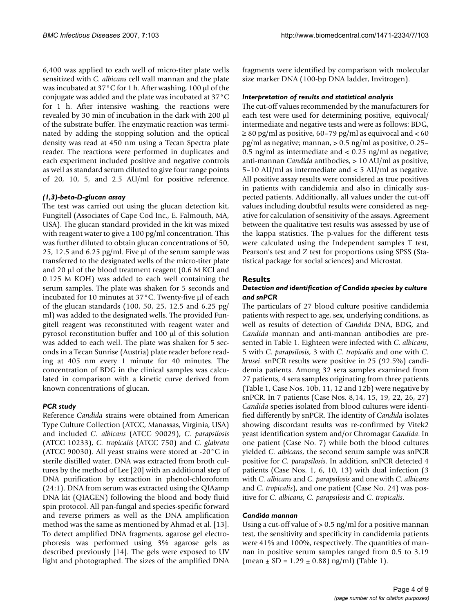6,400 was applied to each well of micro-titer plate wells sensitized with *C. albicans* cell wall mannan and the plate was incubated at 37°C for 1 h. After washing, 100 µl of the conjugate was added and the plate was incubated at 37°C for 1 h. After intensive washing, the reactions were revealed by 30 min of incubation in the dark with 200 µl of the substrate buffer. The enzymatic reaction was terminated by adding the stopping solution and the optical density was read at 450 nm using a Tecan Spectra plate reader. The reactions were performed in duplicates and each experiment included positive and negative controls as well as standard serum diluted to give four range points of 20, 10, 5, and 2.5 AU/ml for positive reference.

#### *(1,3)-beta-D-glucan assay*

The test was carried out using the glucan detection kit, Fungitell (Associates of Cape Cod Inc., E. Falmouth, MA, USA). The glucan standard provided in the kit was mixed with reagent water to give a 100 pg/ml concentration. This was further diluted to obtain glucan concentrations of 50, 25, 12.5 and 6.25 pg/ml. Five µl of the serum sample was transferred to the designated wells of the micro-titer plate and 20 µl of the blood treatment reagent (0.6 M KCl and 0.125 M KOH) was added to each well containing the serum samples. The plate was shaken for 5 seconds and incubated for 10 minutes at 37°C. Twenty-five µl of each of the glucan standards (100, 50, 25, 12.5 and 6.25 pg/ ml) was added to the designated wells. The provided Fungitell reagent was reconstituted with reagent water and pyrosol reconstitution buffer and 100 µl of this solution was added to each well. The plate was shaken for 5 seconds in a Tecan Sunrise (Austria) plate reader before reading at 405 nm every 1 minute for 40 minutes. The concentration of BDG in the clinical samples was calculated in comparison with a kinetic curve derived from known concentrations of glucan.

#### *PCR study*

Reference *Candida* strains were obtained from American Type Culture Collection (ATCC, Manassas, Virginia, USA) and included *C. albicans* (ATCC 90029), *C. parapsilosis* (ATCC 10233), *C. tropicalis* (ATCC 750) and *C. glabrata* (ATCC 90030). All yeast strains were stored at -20°C in sterile distilled water. DNA was extracted from broth cultures by the method of Lee [20] with an additional step of DNA purification by extraction in phenol-chloroform (24:1). DNA from serum was extracted using the QIAamp DNA kit (QIAGEN) following the blood and body fluid spin protocol. All pan-fungal and species-specific forward and reverse primers as well as the DNA amplification method was the same as mentioned by Ahmad et al. [13]. To detect amplified DNA fragments, agarose gel electrophoresis was performed using 3% agarose gels as described previously [14]. The gels were exposed to UV light and photographed. The sizes of the amplified DNA

fragments were identified by comparison with molecular size marker DNA (100-bp DNA ladder, Invitrogen).

#### *Interpretation of results and statistical analysis*

The cut-off values recommended by the manufacturers for each test were used for determining positive, equivocal/ intermediate and negative tests and were as follows: BDG,  $\geq$  80 pg/ml as positive, 60–79 pg/ml as equivocal and < 60 pg/ml as negative; mannan, > 0.5 ng/ml as positive, 0.25– 0.5 ng/ml as intermediate and  $<$  0.25 ng/ml as negative; anti-mannan *Candida* antibodies, > 10 AU/ml as positive, 5–10 AU/ml as intermediate and < 5 AU/ml as negative. All positive assay results were considered as true positives in patients with candidemia and also in clinically suspected patients. Additionally, all values under the cut-off values including doubtful results were considered as negative for calculation of sensitivity of the assays. Agreement between the qualitative test results was assessed by use of the kappa statistics. The p-values for the different tests were calculated using the Independent samples T test, Pearson's test and Z test for proportions using SPSS (Statistical package for social sciences) and Microstat.

#### **Results**

#### *Detection and identification of Candida species by culture and snPCR*

The particulars of 27 blood culture positive candidemia patients with respect to age, sex, underlying conditions, as well as results of detection of *Candida* DNA, BDG, and *Candida* mannan and anti-mannan antibodies are presented in Table 1. Eighteen were infected with *C*. *albicans*, 5 with *C. parapsilosis*, 3 with *C. tropicalis* and one with *C. krusei*. snPCR results were positive in 25 (92.5%) candidemia patients. Among 32 sera samples examined from 27 patients, 4 sera samples originating from three patients (Table 1, Case Nos. 10b, 11, 12 and 12b) were negative by snPCR. In 7 patients (Case Nos. 8,14, 15, 19, 22, 26, 27) *Candida* species isolated from blood cultures were identified differently by snPCR. The identity of *Candida* isolates showing discordant results was re-confirmed by Vitek2 yeast identification system and/or Chromagar *Candida*. In one patient (Case No. 7) while both the blood cultures yielded *C. albicans*, the second serum sample was snPCR positive for *C. parapsilosis*. In addition, snPCR detected 4 patients (Case Nos. 1, 6, 10, 13) with dual infection (3 with *C. albicans* and *C. parapsilosis* and one with *C. albicans* and *C. tropicalis*), and one patient (Case No. 24) was positive for *C. albicans*, *C. parapsilosis* and *C. tropicalis*.

#### *Candida mannan*

Using a cut-off value of  $> 0.5$  ng/ml for a positive mannan test, the sensitivity and specificity in candidemia patients were 41% and 100%, respectively. The quantities of mannan in positive serum samples ranged from 0.5 to 3.19  $(\text{mean} \pm \text{SD} = 1.29 \pm 0.88) \text{ ng/ml}$  (Table 1).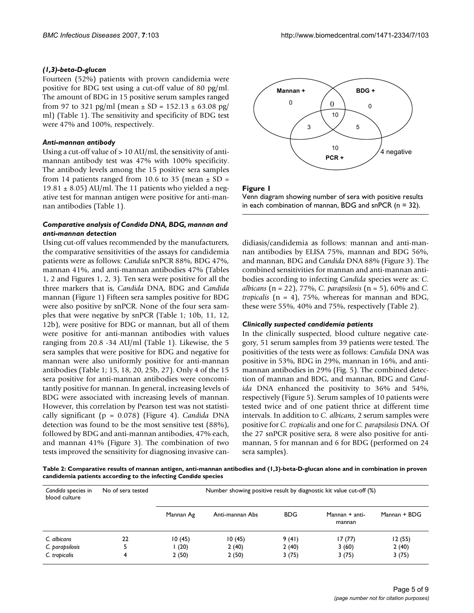#### *(1,3)-beta-D-glucan*

Fourteen (52%) patients with proven candidemia were positive for BDG test using a cut-off value of 80 pg/ml. The amount of BDG in 15 positive serum samples ranged from 97 to 321 pg/ml (mean  $\pm$  SD = 152.13  $\pm$  63.08 pg/ ml) (Table 1). The sensitivity and specificity of BDG test were 47% and 100%, respectively.

#### *Anti-mannan antibody*

Using a cut-off value of  $> 10$  AU/ml, the sensitivity of antimannan antibody test was 47% with 100% specificity. The antibody levels among the 15 positive sera samples from 14 patients ranged from 10.6 to 35 (mean  $\pm$  SD = 19.81  $\pm$  8.05) AU/ml. The 11 patients who yielded a negative test for mannan antigen were positive for anti-mannan antibodies (Table 1).

#### *Comparative analysis of Candida DNA, BDG, mannan and anti-mannan detection*

Using cut-off values recommended by the manufacturers, the comparative sensitivities of the assays for candidemia patients were as follows: *Candida* snPCR 88%, BDG 47%, mannan 41%, and anti-mannan antibodies 47% (Tables 1, 2 and Figures 1, 2, 3). Ten sera were positive for all the three markers that is, *Candida* DNA, BDG and *Candida* mannan (Figure 1) Fifteen sera samples positive for BDG were also positive by snPCR. None of the four sera samples that were negative by snPCR (Table 1; 10b, 11, 12, 12b), were positive for BDG or mannan, but all of them were positive for anti-mannan antibodies with values ranging from 20.8 -34 AU/ml (Table 1). Likewise, the 5 sera samples that were positive for BDG and negative for mannan were also uniformly positive for anti-mannan antibodies (Table 1; 15, 18, 20, 25b, 27). Only 4 of the 15 sera positive for anti-mannan antibodies were concomitantly positive for mannan. In general, increasing levels of BDG were associated with increasing levels of mannan. However, this correlation by Pearson test was not statistically significant (p = 0.078) (Figure 4). *Candida* DNA detection was found to be the most sensitive test (88%), followed by BDG and anti-mannan antibodies, 47% each, and mannan 41% (Figure 3). The combination of two tests improved the sensitivity for diagnosing invasive can-



Figure 1

Venn diagram showing number of sera with positive results in each combination of mannan, BDG and snPCR (n = 32).

didiasis/candidemia as follows: mannan and anti-mannan antibodies by ELISA 75%, mannan and BDG 56%, and mannan, BDG and *Candida* DNA 88% (Figure 3). The combined sensitivities for mannan and anti-mannan antibodies according to infecting *Candida* species were as: *C. albicans* (n = 22), 77%, *C. parapsilosis* (n = 5), 60% and *C. tropicalis* (n = 4), 75%, whereas for mannan and BDG, these were 55%, 40% and 75%, respectively (Table 2).

#### *Clinically suspected candidemia patients*

In the clinically suspected, blood culture negative category, 51 serum samples from 39 patients were tested. The positivities of the tests were as follows: *Candida* DNA was positive in 53%, BDG in 29%, mannan in 16%, and antimannan antibodies in 29% (Fig. 5). The combined detection of mannan and BDG, and mannan, BDG and *Candida* DNA enhanced the positivity to 36% and 54%, respectively (Figure 5). Serum samples of 10 patients were tested twice and of one patient thrice at different time intervals. In addition to *C. albicans*, 2 serum samples were positive for *C. tropicalis* and one for *C. parapsilosis* DNA. Of the 27 snPCR positive sera, 8 were also positive for antimannan, 5 for mannan and 6 for BDG (performed on 24 sera samples).

**Table 2: Comparative results of mannan antigen, anti-mannan antibodies and (1,3)-beta-D-glucan alone and in combination in proven candidemia patients according to the infecting** *Candida* **species**

| Candida species in<br>blood culture | No of sera tested | Number showing positive result by diagnostic kit value cut-off (%) |                 |            |                          |              |  |  |
|-------------------------------------|-------------------|--------------------------------------------------------------------|-----------------|------------|--------------------------|--------------|--|--|
|                                     |                   | Mannan Ag                                                          | Anti-mannan Abs | <b>BDG</b> | Mannan + anti-<br>mannan | Mannan + BDG |  |  |
| C. albicans                         | 22                | 10(45)                                                             | 10(45)          | 9(41)      | 17(77)                   | 12(55)       |  |  |
| C. parapsilosis                     |                   | l (20)                                                             | 2(40)           | 2(40)      | 3(60)                    | 2(40)        |  |  |
| C. tropicalis                       | 4                 | 2(50)                                                              | 2(50)           | 3(75)      | 3(75)                    | 3(75)        |  |  |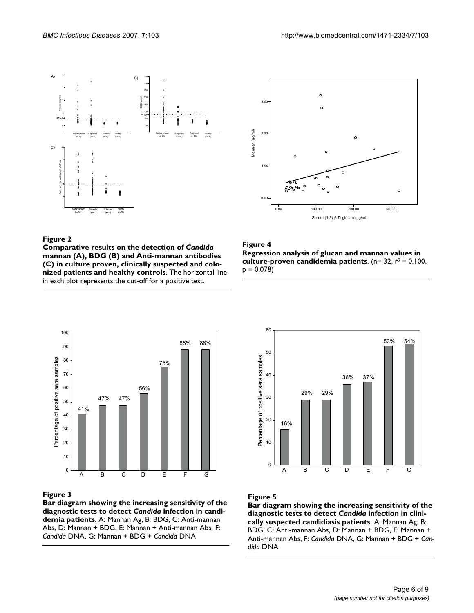



#### Figure 2

**Comparative results on the detection of** *Candida*  **mannan (A), BDG (B) and Anti-mannan antibodies (C) in culture proven, clinically suspected and colonized patients and healthy controls**. The horizontal line

# Figure 4

**Regression analysis of glucan and mannan values in culture-proven candidemia patients**. (n= 32, r2 = 0.100,  $p = 0.078$ 



#### Figure 3

**Bar diagram showing the increasing sensitivity of the diagnostic tests to detect** *Candida* **infection in candidemia patients**. A: Mannan Ag, B: BDG, C: Anti-mannan Abs, D: Mannan + BDG, E: Mannan + Anti-mannan Abs, F: *Candida* DNA, G: Mannan + BDG + *Candida* DNA



#### Figure 5

**Bar diagram showing the increasing sensitivity of the diagnostic tests to detect** *Candida* **infection in clinically suspected candidiasis patients**. A: Mannan Ag, B: BDG, C: Anti-mannan Abs, D: Mannan + BDG, E: Mannan + Anti-mannan Abs, F: *Candida* DNA, G: Mannan + BDG + *Candida* DNA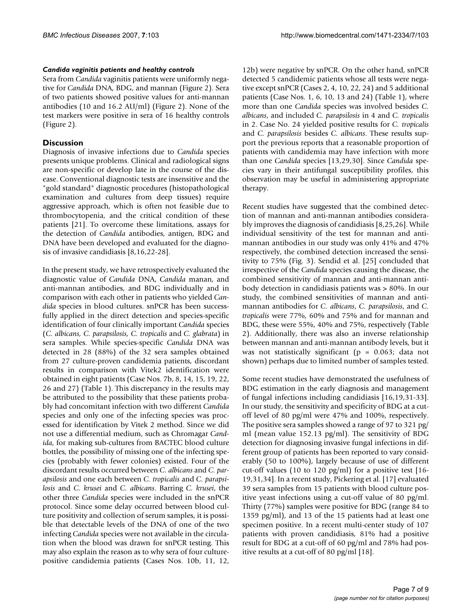#### *Candida vaginitis patients and healthy controls*

Sera from *Candida* vaginitis patients were uniformly negative for *Candida* DNA, BDG, and mannan (Figure 2). Sera of two patients showed positive values for anti-mannan antibodies (10 and 16.2 AU/ml) (Figure 2). None of the test markers were positive in sera of 16 healthy controls (Figure 2).

#### **Discussion**

Diagnosis of invasive infections due to *Candida* species presents unique problems. Clinical and radiological signs are non-specific or develop late in the course of the disease. Conventional diagnostic tests are insensitive and the "gold standard" diagnostic procedures (histopathological examination and cultures from deep tissues) require aggressive approach, which is often not feasible due to thrombocytopenia, and the critical condition of these patients [21]. To overcome these limitations, assays for the detection of *Candida* antibodies, antigen, BDG and DNA have been developed and evaluated for the diagnosis of invasive candidiasis [8,16,22-28].

In the present study, we have retrospectively evaluated the diagnostic value of *Candida* DNA, *Candida* manan, and anti-mannan antibodies, and BDG individually and in comparison with each other in patients who yielded *Candida* species in blood cultures. snPCR has been successfully applied in the direct detection and species-specific identification of four clinically important *Candida* species (*C. albicans, C. parapsilosis, C. tropicalis* and *C. glabrata*) in sera samples. While species-specific *Candida* DNA was detected in 28 (88%) of the 32 sera samples obtained from 27 culture-proven candidemia patients, discordant results in comparison with Vitek2 identification were obtained in eight patients (Case Nos. 7b, 8, 14, 15, 19, 22, 26 and 27) (Table 1). This discrepancy in the results may be attributed to the possibility that these patients probably had concomitant infection with two different *Candida* species and only one of the infecting species was processed for identification by Vitek 2 method. Since we did not use a differential medium, such as Chromagar *Candida*, for making sub-cultures from BACTEC blood culture bottles, the possibility of missing one of the infecting species (probably with fewer colonies) existed. Four of the discordant results occurred between *C. albicans* and *C. parapsilosis* and one each between *C. tropicalis* and *C. parapsilosis* and *C. krusei* and *C. albicans*. Barring *C. krusei*, the other three *Candida* species were included in the snPCR protocol. Since some delay occurred between blood culture positivity and collection of serum samples, it is possible that detectable levels of the DNA of one of the two infecting *Candida* species were not available in the circulation when the blood was drawn for snPCR testing. This may also explain the reason as to why sera of four culturepositive candidemia patients (Cases Nos. 10b, 11, 12,

12b) were negative by snPCR. On the other hand, snPCR detected 5 candidemic patients whose all tests were negative except snPCR (Cases 2, 4, 10, 22, 24) and 5 additional patients (Case Nos. 1, 6, 10, 13 and 24) (Table 1), where more than one *Candida* species was involved besides *C. albicans*, and included *C. parapsilosis* in 4 and *C. tropicalis* in 2. Case No. 24 yielded positive results for *C. tropicalis* and *C. parapsilosis* besides *C. albicans*. These results support the previous reports that a reasonable proportion of patients with candidemia may have infection with more than one *Candida* species [13,29,30]. Since *Candida* species vary in their antifungal susceptibility profiles, this observation may be useful in administering appropriate therapy.

Recent studies have suggested that the combined detection of mannan and anti-mannan antibodies considerably improves the diagnosis of candidiasis [8,25,26]. While individual sensitivity of the test for mannan and antimannan antibodies in our study was only 41% and 47% respectively, the combined detection increased the sensitivity to 75% (Fig. 3). Sendid et al. [25] concluded that irrespective of the *Candida* species causing the disease, the combined sensitivity of mannan and anti-mannan antibody detection in candidiasis patients was > 80%. In our study, the combined sensitivities of mannan and antimannan antibodies for *C. albicans*, *C. parapsilosis*, and *C. tropicalis* were 77%, 60% and 75% and for mannan and BDG, these were 55%, 40% and 75%, respectively (Table 2). Additionally, there was also an inverse relationship between mannan and anti-mannan antibody levels, but it was not statistically significant ( $p = 0.063$ ; data not shown) perhaps due to limited number of samples tested.

Some recent studies have demonstrated the usefulness of BDG estimation in the early diagnosis and management of fungal infections including candidiasis [16,19,31-33]. In our study, the sensitivity and specificity of BDG at a cutoff level of 80 pg/ml were 47% and 100%, respectively. The positive sera samples showed a range of 97 to 321 pg/ ml (mean value 152.13 pg/ml). The sensitivity of BDG detection for diagnosing invasive fungal infections in different group of patients has been reported to vary considerably (50 to 100%), largely because of use of different cut-off values (10 to 120 pg/ml) for a positive test [16- 19,31,34]. In a recent study, Pickering et al. [17] evaluated 39 sera samples from 15 patients with blood culture positive yeast infections using a cut-off value of 80 pg/ml. Thirty (77%) samples were positive for BDG (range 84 to 1359 pg/ml), and 13 of the 15 patients had at least one specimen positive. In a recent multi-center study of 107 patients with proven candidiasis, 81% had a positive result for BDG at a cut-off of 60 pg/ml and 78% had positive results at a cut-off of 80 pg/ml [18].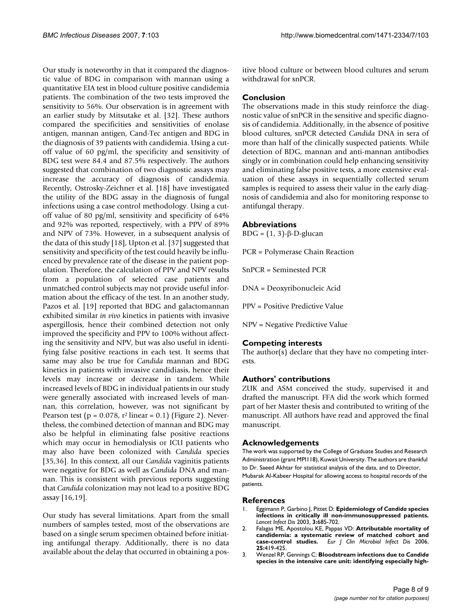Our study is noteworthy in that it compared the diagnostic value of BDG in comparison with mannan using a quantitative EIA test in blood culture positive candidemia patients. The combination of the two tests improved the sensitivity to 56%. Our observation is in agreement with an earlier study by Mitsutake et al. [32]. These authors compared the specificities and sensitivities of enolase antigen, mannan antigen, Cand-Tec antigen and BDG in the diagnosis of 39 patients with candidemia. Using a cutoff value of 60 pg/ml, the specificity and sensitivity of BDG test were 84.4 and 87.5% respectively. The authors suggested that combination of two diagnostic assays may increase the accuracy of diagnosis of candidemia. Recently, Ostrosky-Zeichner et al. [18] have investigated the utility of the BDG assay in the diagnosis of fungal infections using a case control methodology. Using a cutoff value of 80 pg/ml, sensitivity and specificity of 64% and 92% was reported, respectively, with a PPV of 89% and NPV of 73%. However, in a subsequent analysis of the data of this study [18], Upton et al. [37] suggested that sensitivity and specificity of the test could heavily be influenced by prevalence rate of the disease in the patient population. Therefore, the calculation of PPV and NPV results from a population of selected case patients and unmatched control subjects may not provide useful information about the efficacy of the test. In an another study, Pazos et al. [19] reported that BDG and galactomannan exhibited similar *in vivo* kinetics in patients with invasive aspergillosis, hence their combined detection not only improved the specificity and PPV to 100% without affecting the sensitivity and NPV, but was also useful in identifying false positive reactions in each test. It seems that same may also be true for *Candida* mannan and BDG kinetics in patients with invasive candidiasis, hence their levels may increase or decrease in tandem. While increased levels of BDG in individual patients in our study were generally associated with increased levels of mannan, this correlation, however, was not significant by Pearson test ( $p = 0.078$ ,  $r^2$  linear = 0.1) (Figure 2). Nevertheless, the combined detection of mannan and BDG may also be helpful in eliminating false positive reactions which may occur in hemodialysis or ICU patients who may also have been colonized with *Candida* species [35,36]. In this context, all our *Candida* vaginitis patients were negative for BDG as well as *Candida* DNA and mannan. This is consistent with previous reports suggesting that *Candida* colonization may not lead to a positive BDG assay [16,19].

Our study has several limitations. Apart from the small numbers of samples tested, most of the observations are based on a single serum specimen obtained before initiating antifungal therapy. Additionally, there is no data available about the delay that occurred in obtaining a positive blood culture or between blood cultures and serum withdrawal for snPCR.

#### **Conclusion**

The observations made in this study reinforce the diagnostic value of snPCR in the sensitive and specific diagnosis of candidemia. Additionally, in the absence of positive blood cultures, snPCR detected *Candida* DNA in sera of more than half of the clinically suspected patients. While detection of BDG, mannan and anti-mannan antibodies singly or in combination could help enhancing sensitivity and eliminating false positive tests, a more extensive evaluation of these assays in sequentially collected serum samples is required to assess their value in the early diagnosis of candidemia and also for monitoring response to antifungal therapy.

#### **Abbreviations**

BDG = (1, 3)-β-D-glucan

PCR = Polymerase Chain Reaction

SnPCR = Seminested PCR

DNA = Deoxyribonucleic Acid

PPV = Positive Predictive Value

NPV = Negative Predictive Value

#### **Competing interests**

The author(s) declare that they have no competing interests.

#### **Authors' contributions**

ZUK and ASM conceived the study, supervised it and drafted the manuscript. FFA did the work which formed part of her Master thesis and contributed to writing of the manuscript. All authors have read and approved the final manuscript.

#### **Acknowledgements**

The work was supported by the College of Graduate Studies and Research Administration (grant MPI118), Kuwait University. The authors are thankful to Dr. Saeed Akhtar for statistical analysis of the data, and to Director, Mubarak Al-Kabeer Hospital for allowing access to hospital records of the patients.

#### **References**

- 1. Eggimann P, Garbino J, Pittet D: **Epidemiology of** *Candida* **[species](http://www.ncbi.nlm.nih.gov/entrez/query.fcgi?cmd=Retrieve&db=PubMed&dopt=Abstract&list_uids=14592598) [infections in critically ill non-immunosuppressed patients.](http://www.ncbi.nlm.nih.gov/entrez/query.fcgi?cmd=Retrieve&db=PubMed&dopt=Abstract&list_uids=14592598)** *Lancet Infect Dis* 2003, **3:**685-702.
- 2. Falagas ME, Apostolou KE, Pappas VD: **[Attributable mortality of](http://www.ncbi.nlm.nih.gov/entrez/query.fcgi?cmd=Retrieve&db=PubMed&dopt=Abstract&list_uids=16773391) [candidemia: a systematic review of matched cohort and](http://www.ncbi.nlm.nih.gov/entrez/query.fcgi?cmd=Retrieve&db=PubMed&dopt=Abstract&list_uids=16773391) [case-control studies.](http://www.ncbi.nlm.nih.gov/entrez/query.fcgi?cmd=Retrieve&db=PubMed&dopt=Abstract&list_uids=16773391)** *Eur J Clin Microbiol Infect Dis* 2006, **25:**419-425.
- 3. Wenzel RP, Gennings C: **Bloodstream infections due to** *Candida* **[species in the intensive care unit: identifying especially high](http://www.ncbi.nlm.nih.gov/entrez/query.fcgi?cmd=Retrieve&db=PubMed&dopt=Abstract&list_uids=16108005)-**